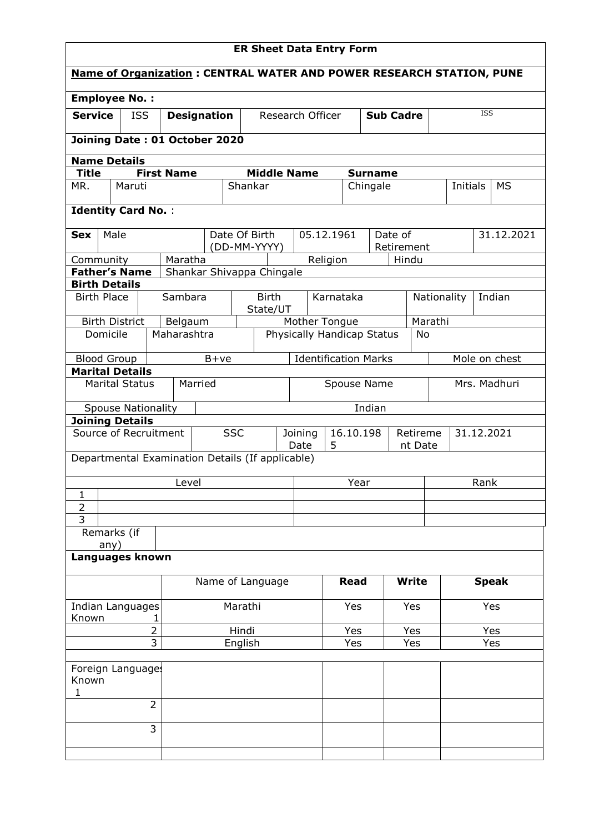| <b>ER Sheet Data Entry Form</b>                                             |                                  |             |         |                           |              |         |                             |                  |                     |           |             |                       |               |
|-----------------------------------------------------------------------------|----------------------------------|-------------|---------|---------------------------|--------------|---------|-----------------------------|------------------|---------------------|-----------|-------------|-----------------------|---------------|
| <b>Name of Organization: CENTRAL WATER AND POWER RESEARCH STATION, PUNE</b> |                                  |             |         |                           |              |         |                             |                  |                     |           |             |                       |               |
| <b>Employee No.:</b>                                                        |                                  |             |         |                           |              |         |                             |                  |                     |           |             |                       |               |
| <b>Service</b>                                                              | <b>ISS</b><br><b>Designation</b> |             |         | Research Officer          |              |         |                             | <b>Sub Cadre</b> |                     |           | <b>ISS</b>  |                       |               |
| Joining Date: 01 October 2020                                               |                                  |             |         |                           |              |         |                             |                  |                     |           |             |                       |               |
| <b>Name Details</b>                                                         |                                  |             |         |                           |              |         |                             |                  |                     |           |             |                       |               |
| <b>Title</b><br>MR.                                                         | <b>First Name</b>                |             |         | <b>Middle Name</b>        |              |         |                             | <b>Surname</b>   |                     |           |             | Initials<br><b>MS</b> |               |
|                                                                             | Maruti                           |             |         | Shankar                   |              |         | Chingale                    |                  |                     |           |             |                       |               |
| <b>Identity Card No.:</b>                                                   |                                  |             |         |                           |              |         |                             |                  |                     |           |             |                       |               |
| Male<br><b>Sex</b>                                                          |                                  |             |         | Date Of Birth             |              |         | 05.12.1961                  |                  | Date of             |           |             |                       | 31.12.2021    |
| Community                                                                   |                                  | Maratha     |         | (DD-MM-YYYY)              |              |         | Religion                    |                  | Retirement<br>Hindu |           |             |                       |               |
| <b>Father's Name</b>                                                        |                                  |             |         | Shankar Shivappa Chingale |              |         |                             |                  |                     |           |             |                       |               |
| <b>Birth Details</b>                                                        |                                  |             |         |                           |              |         |                             |                  |                     |           |             |                       |               |
| <b>Birth Place</b>                                                          |                                  | Sambara     |         | <b>Birth</b><br>State/UT  |              |         | Karnataka                   |                  |                     |           | Nationality |                       | Indian        |
| <b>Birth District</b>                                                       |                                  | Belgaum     |         |                           |              |         | Mother Tongue               |                  |                     | Marathi   |             |                       |               |
| Domicile                                                                    |                                  | Maharashtra |         |                           |              |         | Physically Handicap Status  |                  |                     | <b>No</b> |             |                       |               |
| <b>Blood Group</b>                                                          |                                  |             | $B+ve$  |                           |              |         | <b>Identification Marks</b> |                  |                     |           |             |                       | Mole on chest |
| <b>Marital Details</b>                                                      | <b>Marital Status</b>            |             | Married |                           |              |         | Spouse Name                 |                  |                     |           |             |                       | Mrs. Madhuri  |
|                                                                             |                                  |             |         |                           |              |         |                             |                  |                     |           |             |                       |               |
|                                                                             | <b>Spouse Nationality</b>        |             |         |                           |              |         |                             | Indian           |                     |           |             |                       |               |
| <b>Joining Details</b><br>Source of Recruitment                             |                                  |             |         | <b>SSC</b>                |              | Joining | 16.10.198                   |                  |                     | Retireme  |             | 31.12.2021            |               |
|                                                                             |                                  |             |         |                           |              | Date    | 5                           |                  |                     | nt Date   |             |                       |               |
| Departmental Examination Details (If applicable)                            |                                  |             |         |                           |              |         |                             |                  |                     |           |             |                       |               |
|                                                                             |                                  | Level       |         |                           | Rank<br>Year |         |                             |                  |                     |           |             |                       |               |
| 1                                                                           |                                  |             |         |                           |              |         |                             |                  |                     |           |             |                       |               |
| $\overline{2}$<br>3                                                         |                                  |             |         |                           |              |         |                             |                  |                     |           |             |                       |               |
| Remarks (if                                                                 |                                  |             |         |                           |              |         |                             |                  |                     |           |             |                       |               |
| any)<br>Languages known                                                     |                                  |             |         |                           |              |         |                             |                  |                     |           |             |                       |               |
|                                                                             |                                  |             |         |                           |              |         |                             |                  |                     |           |             |                       |               |
|                                                                             |                                  |             |         | Name of Language          |              |         | <b>Read</b>                 |                  |                     | Write     |             |                       | <b>Speak</b>  |
| Indian Languages                                                            |                                  |             |         | Marathi                   |              |         | Yes                         |                  |                     | Yes       |             |                       | Yes           |
| Known<br>1                                                                  |                                  |             |         |                           |              |         |                             |                  |                     |           |             |                       |               |
| $\overline{2}$<br>Hindi<br>$\overline{3}$<br>English                        |                                  |             |         |                           | Yes          |         |                             | Yes              |                     |           | Yes         |                       |               |
| Yes<br>Yes<br>Yes                                                           |                                  |             |         |                           |              |         |                             |                  |                     |           |             |                       |               |
| Known<br>1                                                                  | Foreign Language:                |             |         |                           |              |         |                             |                  |                     |           |             |                       |               |
|                                                                             | $\overline{2}$                   |             |         |                           |              |         |                             |                  |                     |           |             |                       |               |
|                                                                             | 3                                |             |         |                           |              |         |                             |                  |                     |           |             |                       |               |
|                                                                             |                                  |             |         |                           |              |         |                             |                  |                     |           |             |                       |               |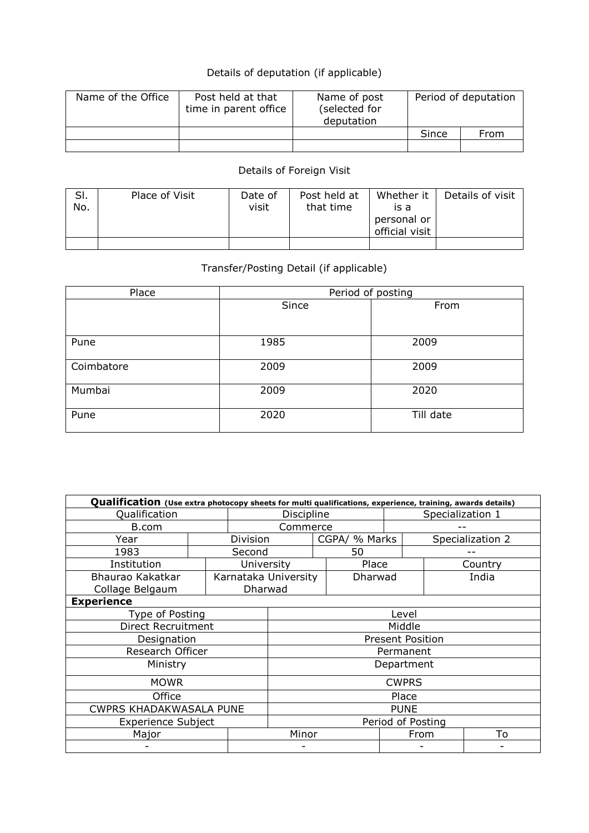## Details of deputation (if applicable)

| Name of the Office | Post held at that<br>time in parent office | Name of post<br>(selected for<br>deputation | Period of deputation |      |  |
|--------------------|--------------------------------------------|---------------------------------------------|----------------------|------|--|
|                    |                                            |                                             | Since                | From |  |
|                    |                                            |                                             |                      |      |  |

## Details of Foreign Visit

| SI.<br>No. | Place of Visit | Date of<br>visit | Post held at<br>that time | Whether it<br>is a<br>personal or<br>official visit | Details of visit |
|------------|----------------|------------------|---------------------------|-----------------------------------------------------|------------------|
|            |                |                  |                           |                                                     |                  |

## Transfer/Posting Detail (if applicable)

| Place      | Period of posting |           |  |  |  |  |
|------------|-------------------|-----------|--|--|--|--|
|            | Since             | From      |  |  |  |  |
|            |                   |           |  |  |  |  |
| Pune       | 1985              | 2009      |  |  |  |  |
| Coimbatore | 2009              | 2009      |  |  |  |  |
| Mumbai     | 2009              | 2020      |  |  |  |  |
| Pune       | 2020              | Till date |  |  |  |  |

| Qualification (Use extra photocopy sheets for multi qualifications, experience, training, awards details) |                   |                |                      |                         |         |                  |      |         |
|-----------------------------------------------------------------------------------------------------------|-------------------|----------------|----------------------|-------------------------|---------|------------------|------|---------|
| Qualification                                                                                             |                   |                | Discipline           |                         |         | Specialization 1 |      |         |
| B.com                                                                                                     | Commerce          |                |                      |                         |         |                  |      |         |
| Year                                                                                                      | Division          |                | CGPA/ % Marks        |                         |         | Specialization 2 |      |         |
| 1983                                                                                                      |                   | Second         |                      | 50                      |         |                  |      |         |
| Institution                                                                                               |                   | University     |                      |                         | Place   |                  |      | Country |
| Bhaurao Kakatkar                                                                                          |                   |                | Karnataka University |                         | Dharwad |                  |      | India   |
| Collage Belgaum                                                                                           |                   | <b>Dharwad</b> |                      |                         |         |                  |      |         |
| <b>Experience</b>                                                                                         |                   |                |                      |                         |         |                  |      |         |
| Type of Posting                                                                                           |                   |                | Level                |                         |         |                  |      |         |
| Direct Recruitment                                                                                        |                   |                | Middle               |                         |         |                  |      |         |
| Designation                                                                                               |                   |                |                      | <b>Present Position</b> |         |                  |      |         |
| Research Officer                                                                                          |                   |                |                      | Permanent               |         |                  |      |         |
| Ministry                                                                                                  | Department        |                |                      |                         |         |                  |      |         |
| <b>MOWR</b>                                                                                               | <b>CWPRS</b>      |                |                      |                         |         |                  |      |         |
| Office                                                                                                    | Place             |                |                      |                         |         |                  |      |         |
| <b>CWPRS KHADAKWASALA PUNE</b>                                                                            | <b>PUNE</b>       |                |                      |                         |         |                  |      |         |
| <b>Experience Subject</b>                                                                                 | Period of Posting |                |                      |                         |         |                  |      |         |
| Major                                                                                                     |                   |                | Minor                |                         |         |                  | From | To      |
|                                                                                                           |                   |                |                      |                         |         |                  |      |         |